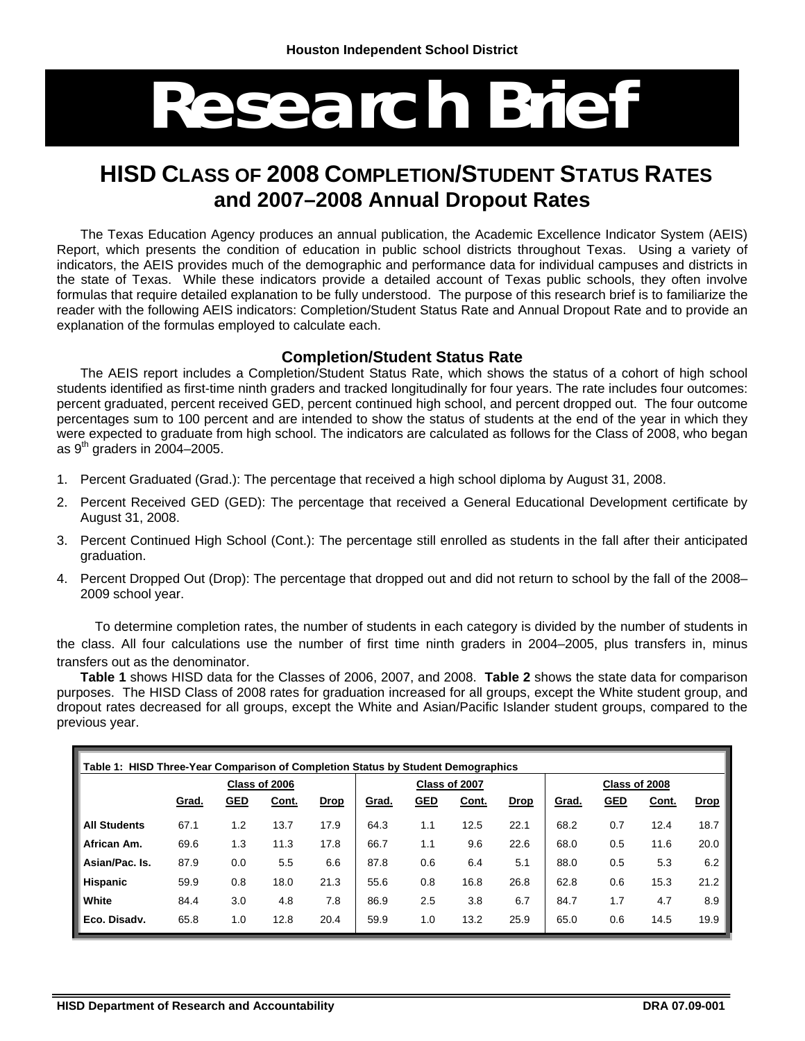# **Research Brief**

# **HISD CLASS OF 2008 COMPLETION/STUDENT STATUS RATES and 2007–2008 Annual Dropout Rates**

The Texas Education Agency produces an annual publication, the Academic Excellence Indicator System (AEIS) Report, which presents the condition of education in public school districts throughout Texas. Using a variety of indicators, the AEIS provides much of the demographic and performance data for individual campuses and districts in the state of Texas. While these indicators provide a detailed account of Texas public schools, they often involve formulas that require detailed explanation to be fully understood. The purpose of this research brief is to familiarize the reader with the following AEIS indicators: Completion/Student Status Rate and Annual Dropout Rate and to provide an explanation of the formulas employed to calculate each.

#### **Completion/Student Status Rate**

The AEIS report includes a Completion/Student Status Rate, which shows the status of a cohort of high school students identified as first-time ninth graders and tracked longitudinally for four years. The rate includes four outcomes: percent graduated, percent received GED, percent continued high school, and percent dropped out. The four outcome percentages sum to 100 percent and are intended to show the status of students at the end of the year in which they were expected to graduate from high school. The indicators are calculated as follows for the Class of 2008, who began as  $9<sup>th</sup>$  graders in 2004–2005.

- 1. Percent Graduated (Grad.): The percentage that received a high school diploma by August 31, 2008.
- 2. Percent Received GED (GED): The percentage that received a General Educational Development certificate by August 31, 2008.
- 3. Percent Continued High School (Cont.): The percentage still enrolled as students in the fall after their anticipated graduation.
- 4. Percent Dropped Out (Drop): The percentage that dropped out and did not return to school by the fall of the 2008– 2009 school year.

 To determine completion rates, the number of students in each category is divided by the number of students in the class. All four calculations use the number of first time ninth graders in 2004–2005, plus transfers in, minus transfers out as the denominator.

**Table 1** shows HISD data for the Classes of 2006, 2007, and 2008. **Table 2** shows the state data for comparison purposes. The HISD Class of 2008 rates for graduation increased for all groups, except the White student group, and dropout rates decreased for all groups, except the White and Asian/Pacific Islander student groups, compared to the previous year.

| Table 1: HISD Three-Year Comparison of Completion Status by Student Demographics |               |            |       |             |              |            |               |             |               |            |       |             |
|----------------------------------------------------------------------------------|---------------|------------|-------|-------------|--------------|------------|---------------|-------------|---------------|------------|-------|-------------|
|                                                                                  | Class of 2006 |            |       |             |              |            | Class of 2007 |             | Class of 2008 |            |       |             |
|                                                                                  | Grad.         | <u>GED</u> | Cont. | <u>Drop</u> | <u>Grad.</u> | <u>GED</u> | Cont.         | <b>Drop</b> | <u>Grad.</u>  | <u>GED</u> | Cont. | <b>Drop</b> |
| <b>All Students</b>                                                              | 67.1          | 1.2        | 13.7  | 17.9        | 64.3         | 1.1        | 12.5          | 22.1        | 68.2          | 0.7        | 12.4  | 18.7        |
| African Am.                                                                      | 69.6          | 1.3        | 11.3  | 17.8        | 66.7         | 1.1        | 9.6           | 22.6        | 68.0          | 0.5        | 11.6  | 20.0        |
| Asian/Pac. Is.                                                                   | 87.9          | 0.0        | 5.5   | 6.6         | 87.8         | 0.6        | 6.4           | 5.1         | 88.0          | 0.5        | 5.3   | 6.2         |
| <b>Hispanic</b>                                                                  | 59.9          | 0.8        | 18.0  | 21.3        | 55.6         | 0.8        | 16.8          | 26.8        | 62.8          | 0.6        | 15.3  | 21.2        |
| White                                                                            | 84.4          | 3.0        | 4.8   | 7.8         | 86.9         | 2.5        | 3.8           | 6.7         | 84.7          | 1.7        | 4.7   | 8.9         |
| Eco. Disady.                                                                     | 65.8          | 1.0        | 12.8  | 20.4        | 59.9         | 1.0        | 13.2          | 25.9        | 65.0          | 0.6        | 14.5  | 19.9        |